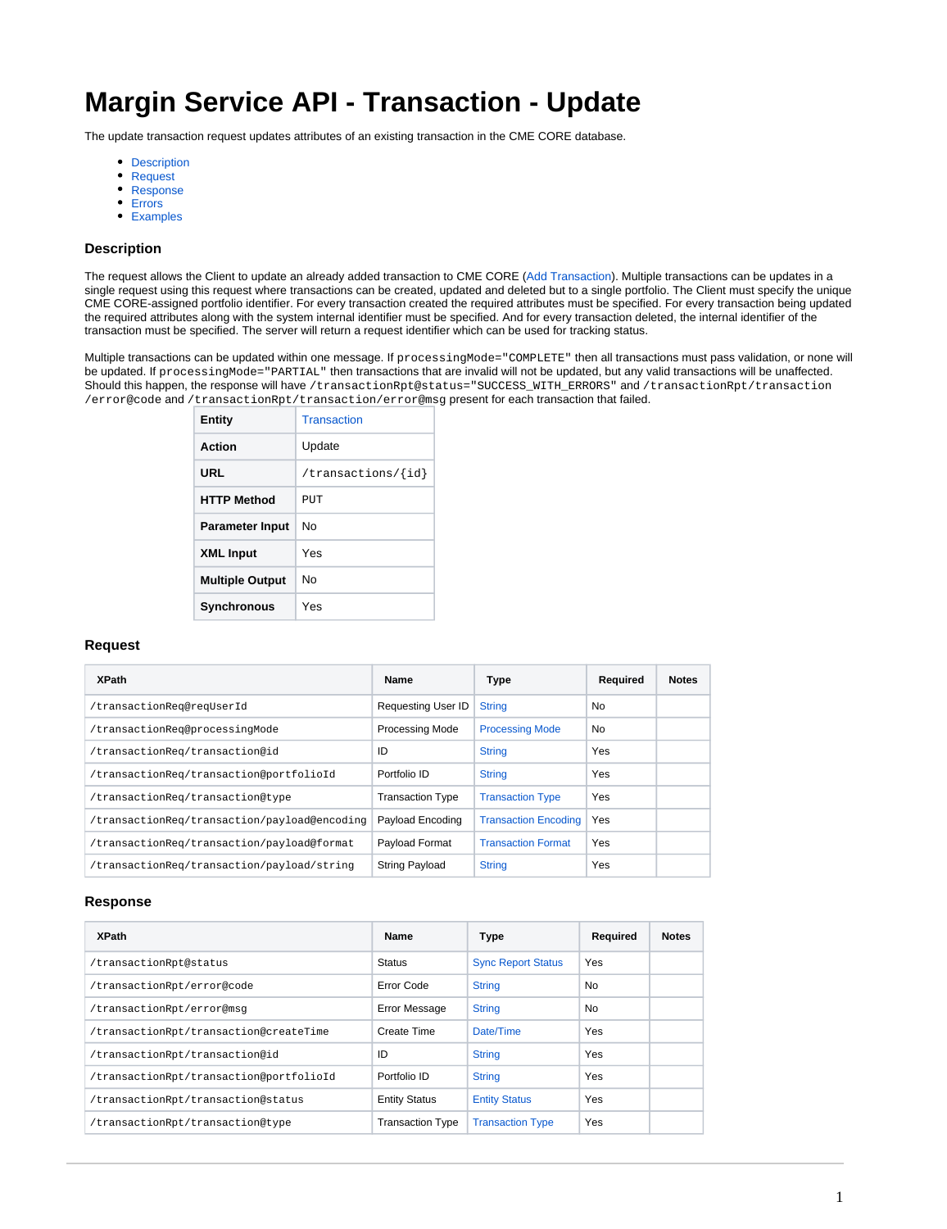# **Margin Service API - Transaction - Update**

The update transaction request updates attributes of an existing transaction in the CME CORE database.

- [Description](#page-0-0)
- [Request](#page-0-1)
- [Response](#page-0-2)
- [Errors](#page-1-0)
- [Examples](#page-1-1)

## <span id="page-0-0"></span>**Description**

The request allows the Client to update an already added transaction to CME CORE ([Add Transaction](https://wiki.chicago.cme.com/confluence/display/chcore/CORE+API+-+Transaction+-+Add)). Multiple transactions can be updates in a single request using this request where transactions can be created, updated and deleted but to a single portfolio. The Client must specify the unique CME CORE-assigned portfolio identifier. For every transaction created the required attributes must be specified. For every transaction being updated the required attributes along with the system internal identifier must be specified. And for every transaction deleted, the internal identifier of the transaction must be specified. The server will return a request identifier which can be used for tracking status.

Multiple transactions can be updated within one message. If processingMode="COMPLETE" then all transactions must pass validation, or none will be updated. If processingMode="PARTIAL" then transactions that are invalid will not be updated, but any valid transactions will be unaffected. Should this happen, the response will have /transactionRpt@status="SUCCESS\_WITH\_ERRORS" and /transactionRpt/transaction /error@code and /transactionRpt/transaction/error@msg present for each transaction that failed.

| Entity                 | <b>Transaction</b>      |
|------------------------|-------------------------|
| Action                 | Update                  |
| URL                    | /transactions/ $\{id\}$ |
| <b>HTTP Method</b>     | PUT                     |
| <b>Parameter Input</b> | Nο                      |
| <b>XML Input</b>       | Yes                     |
| <b>Multiple Output</b> | Nο                      |
| <b>Synchronous</b>     | Yes                     |

### <span id="page-0-1"></span>**Request**

| <b>XPath</b>                                 | Name                      | Type                        | Required       | <b>Notes</b> |
|----------------------------------------------|---------------------------|-----------------------------|----------------|--------------|
| /transactionReg@regUserId                    | <b>Requesting User ID</b> | <b>String</b>               | N <sub>0</sub> |              |
| /transactionReq@processinqMode               | <b>Processing Mode</b>    | <b>Processing Mode</b>      | No             |              |
| /transactionReq/transaction@id               | ID                        | <b>String</b>               | Yes            |              |
| /transactionReq/transaction@portfolioId      | Portfolio ID              | <b>String</b>               | Yes            |              |
| /transactionReg/transaction@type             | <b>Transaction Type</b>   | <b>Transaction Type</b>     | Yes            |              |
| /transactionReg/transaction/payload@encoding | Payload Encoding          | <b>Transaction Encoding</b> | Yes            |              |
| /transactionReq/transaction/payload@format   | Payload Format            | <b>Transaction Format</b>   | Yes            |              |
| /transactionReg/transaction/payload/string   | <b>String Payload</b>     | <b>String</b>               | Yes            |              |

#### <span id="page-0-2"></span>**Response**

| <b>Name</b>             | <b>Type</b>               | Required | <b>Notes</b> |
|-------------------------|---------------------------|----------|--------------|
| Status                  | <b>Sync Report Status</b> | Yes      |              |
| Error Code              | <b>String</b>             | No.      |              |
| Error Message           | <b>String</b>             | No.      |              |
| Create Time             | Date/Time                 | Yes      |              |
| ID                      | <b>String</b>             | Yes      |              |
| Portfolio ID            | <b>String</b>             | Yes      |              |
| <b>Entity Status</b>    | <b>Entity Status</b>      | Yes      |              |
| <b>Transaction Type</b> | <b>Transaction Type</b>   | Yes      |              |
|                         |                           |          |              |